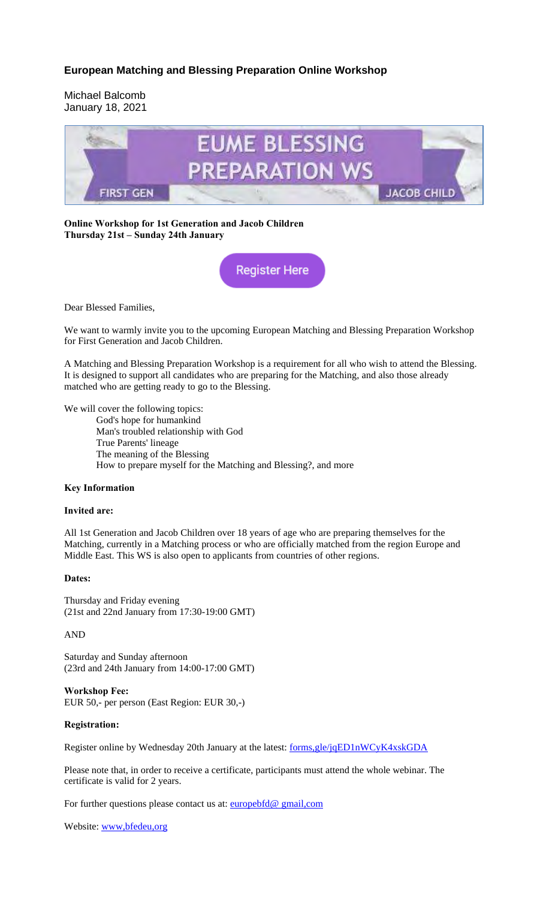## **European Matching and Blessing Preparation Online Workshop**

Michael Balcomb January 18, 2021



**Online Workshop for 1st Generation and Jacob Children Thursday 21st – Sunday 24th January**

**Register Here** 

Dear Blessed Families,

We want to warmly invite you to the upcoming European Matching and Blessing Preparation Workshop for First Generation and Jacob Children.

A Matching and Blessing Preparation Workshop is a requirement for all who wish to attend the Blessing. It is designed to support all candidates who are preparing for the Matching, and also those already matched who are getting ready to go to the Blessing.

We will cover the following topics:

God's hope for humankind Man's troubled relationship with God True Parents' lineage The meaning of the Blessing How to prepare myself for the Matching and Blessing?, and more

#### **Key Information**

### **Invited are:**

All 1st Generation and Jacob Children over 18 years of age who are preparing themselves for the Matching, currently in a Matching process or who are officially matched from the region Europe and Middle East. This WS is also open to applicants from countries of other regions.

### **Dates:**

Thursday and Friday evening (21st and 22nd January from 17:30-19:00 GMT)

AND

Saturday and Sunday afternoon (23rd and 24th January from 14:00-17:00 GMT)

**Workshop Fee:** EUR 50,- per person (East Region: EUR 30,-)

### **Registration:**

Register online by Wednesday 20th January at the latest: forms,gle/jqED1nWCyK4xskGDA

Please note that, in order to receive a certificate, participants must attend the whole webinar. The certificate is valid for 2 years.

For further questions please contact us at: **europebfd@** gmail,com

Website: www,bfedeu,org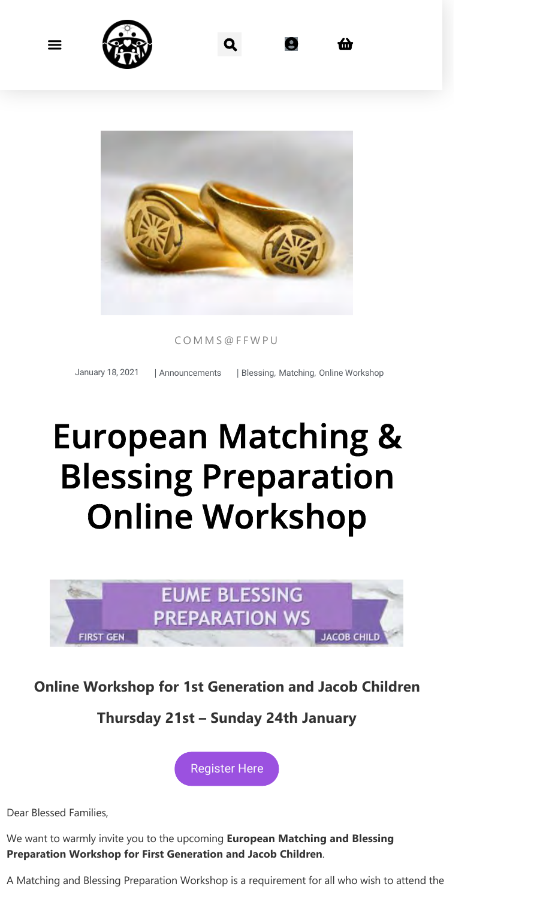



COMMS@FFWPU

January 18, 2021 | Announcements | Blessing, Matching, Online Workshop

# European Matching & Blessing Preparation Online Workshop



# **Online Workshop for 1st Generation and Jacob Children**

# **Thursday 21st – Sunday 24th January**



Dear Blessed Families,

We want to warmly invite you to the upcoming **European Matching and Blessing Preparation Workshop for First Generation and Jacob Children**.

A Matching and Blessing Preparation Workshop is a requirement for all who wish to attend the